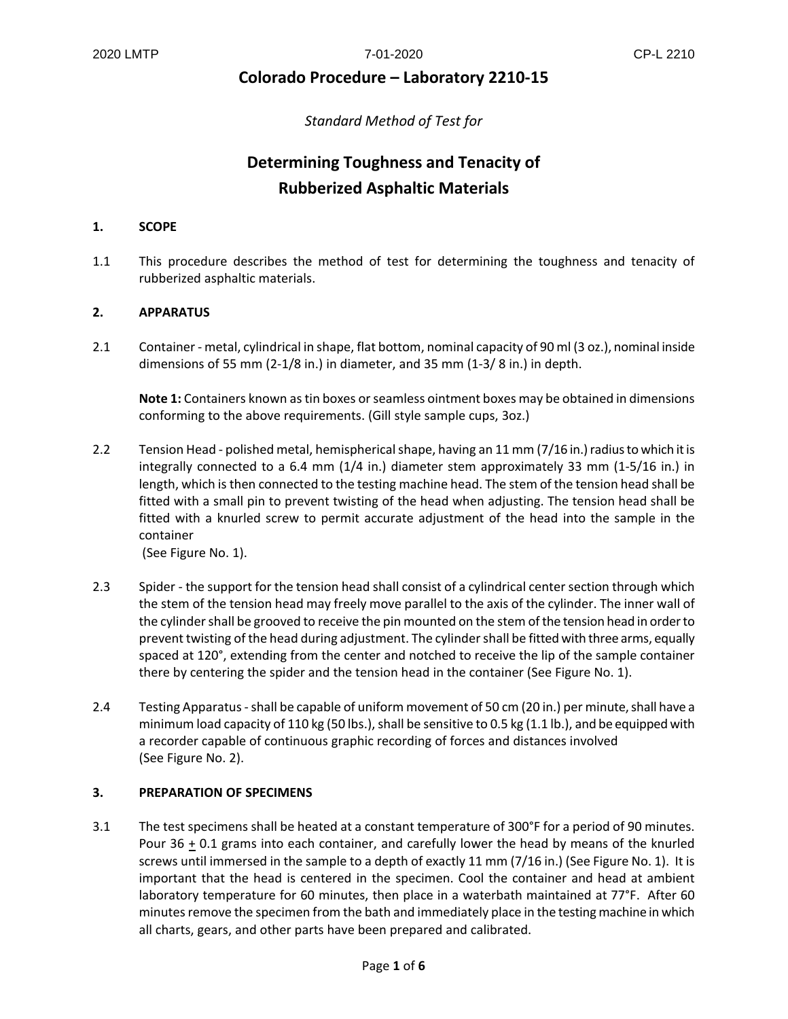### **Colorado Procedure – Laboratory 2210-15**

*Standard Method of Test for*

## **Determining Toughness and Tenacity of Rubberized Asphaltic Materials**

#### **1. SCOPE**

1.1 This procedure describes the method of test for determining the toughness and tenacity of rubberized asphaltic materials.

#### **2. APPARATUS**

2.1 Container - metal, cylindrical in shape, flat bottom, nominal capacity of 90 ml (3 oz.), nominal inside dimensions of 55 mm (2-1/8 in.) in diameter, and 35 mm (1-3/ 8 in.) in depth.

**Note 1:** Containers known as tin boxes or seamless ointment boxes may be obtained in dimensions conforming to the above requirements. (Gill style sample cups, 3oz.)

2.2 Tension Head - polished metal, hemispherical shape, having an 11 mm (7/16 in.) radius to which it is integrally connected to a 6.4 mm (1/4 in.) diameter stem approximately 33 mm (1-5/16 in.) in length, which is then connected to the testing machine head. The stem of the tension head shall be fitted with a small pin to prevent twisting of the head when adjusting. The tension head shall be fitted with a knurled screw to permit accurate adjustment of the head into the sample in the container

(See Figure No. 1).

- 2.3 Spider the support for the tension head shall consist of a cylindrical center section through which the stem of the tension head may freely move parallel to the axis of the cylinder. The inner wall of the cylinder shall be grooved to receive the pin mounted on the stem of the tension head in order to prevent twisting of the head during adjustment. The cylinder shall be fitted with three arms, equally spaced at 120°, extending from the center and notched to receive the lip of the sample container there by centering the spider and the tension head in the container (See Figure No. 1).
- 2.4 Testing Apparatus shall be capable of uniform movement of 50 cm (20 in.) per minute, shall have a minimum load capacity of 110 kg (50 lbs.), shall be sensitive to 0.5 kg (1.1 lb.), and be equipped with a recorder capable of continuous graphic recording of forces and distances involved (See Figure No. 2).

#### **3. PREPARATION OF SPECIMENS**

3.1 The test specimens shall be heated at a constant temperature of 300°F for a period of 90 minutes. Pour 36 + 0.1 grams into each container, and carefully lower the head by means of the knurled screws until immersed in the sample to a depth of exactly 11 mm (7/16 in.) (See Figure No. 1). It is important that the head is centered in the specimen. Cool the container and head at ambient laboratory temperature for 60 minutes, then place in a waterbath maintained at 77°F. After 60 minutes remove the specimen from the bath and immediately place in the testing machine in which all charts, gears, and other parts have been prepared and calibrated.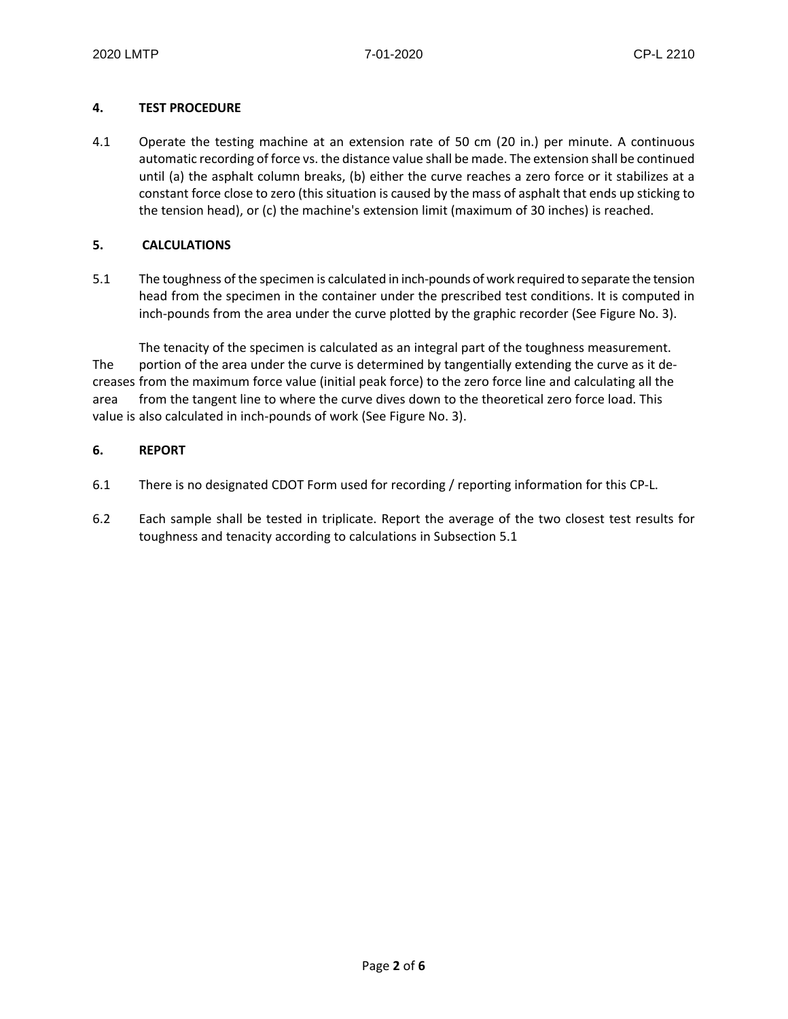#### **4. TEST PROCEDURE**

4.1 Operate the testing machine at an extension rate of 50 cm (20 in.) per minute. A continuous automatic recording of force vs. the distance value shall be made. The extension shall be continued until (a) the asphalt column breaks, (b) either the curve reaches a zero force or it stabilizes at a constant force close to zero (this situation is caused by the mass of asphalt that ends up sticking to the tension head), or (c) the machine's extension limit (maximum of 30 inches) is reached.

#### **5. CALCULATIONS**

5.1 The toughness of the specimen is calculated in inch-pounds of work required to separate the tension head from the specimen in the container under the prescribed test conditions. It is computed in inch-pounds from the area under the curve plotted by the graphic recorder (See Figure No. 3).

The tenacity of the specimen is calculated as an integral part of the toughness measurement. The portion of the area under the curve is determined by tangentially extending the curve as it decreases from the maximum force value (initial peak force) to the zero force line and calculating all the area from the tangent line to where the curve dives down to the theoretical zero force load. This value is also calculated in inch-pounds of work (See Figure No. 3).

#### **6. REPORT**

- 6.1 There is no designated CDOT Form used for recording / reporting information for this CP-L.
- 6.2 Each sample shall be tested in triplicate. Report the average of the two closest test results for toughness and tenacity according to calculations in Subsection 5.1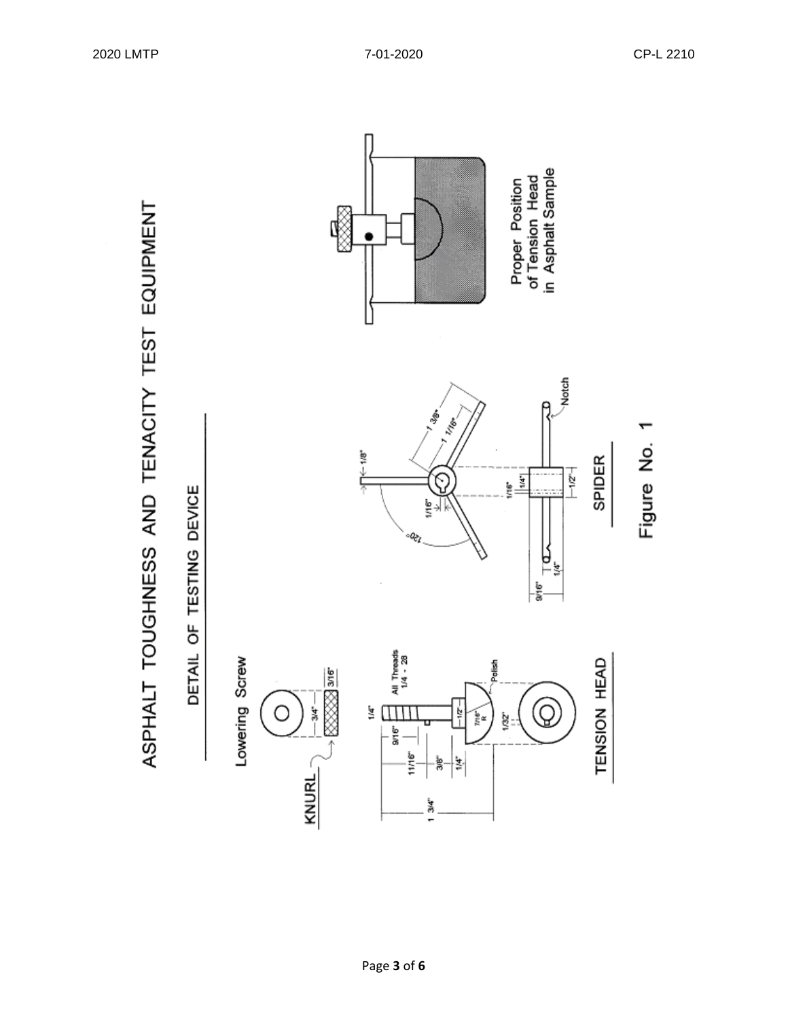ASPHALT TOUGHNESS AND TENACITY TEST EQUIPMENT

DETAIL OF TESTING DEVICE

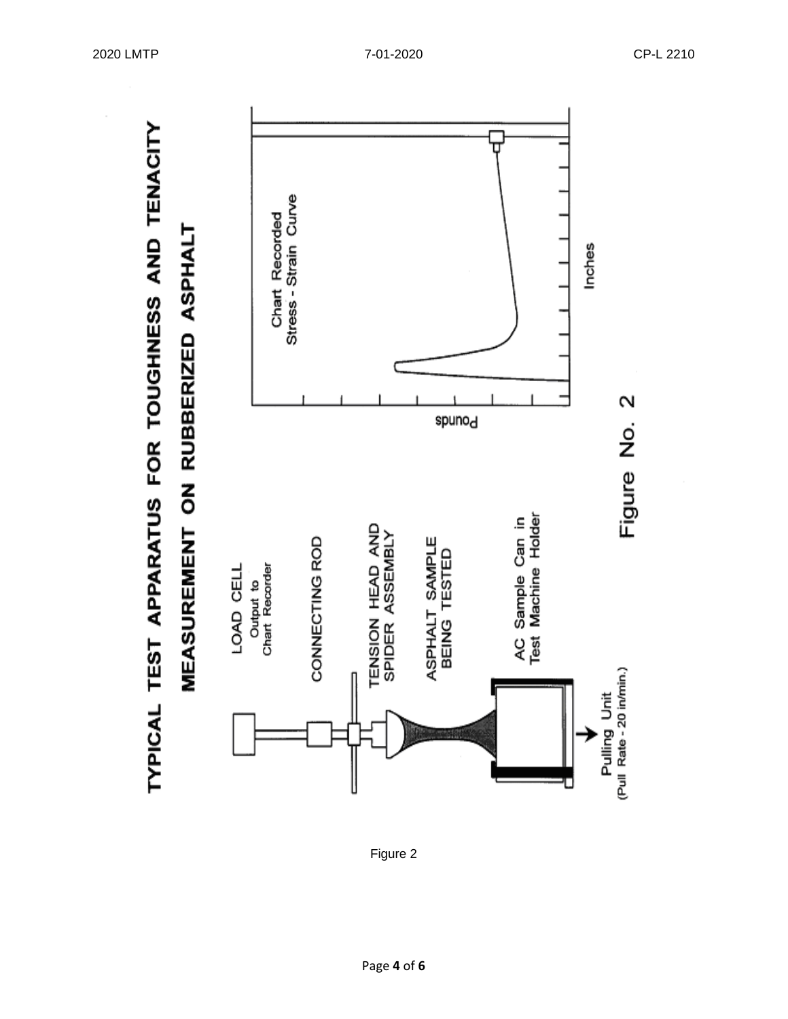

Figure 2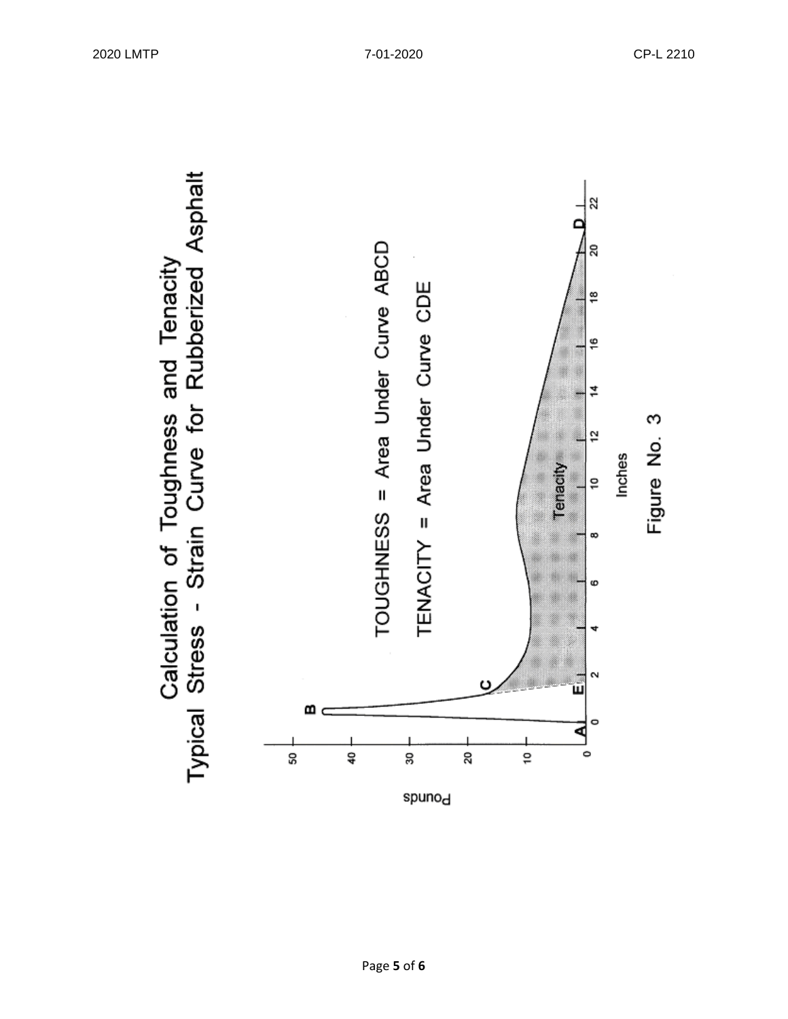